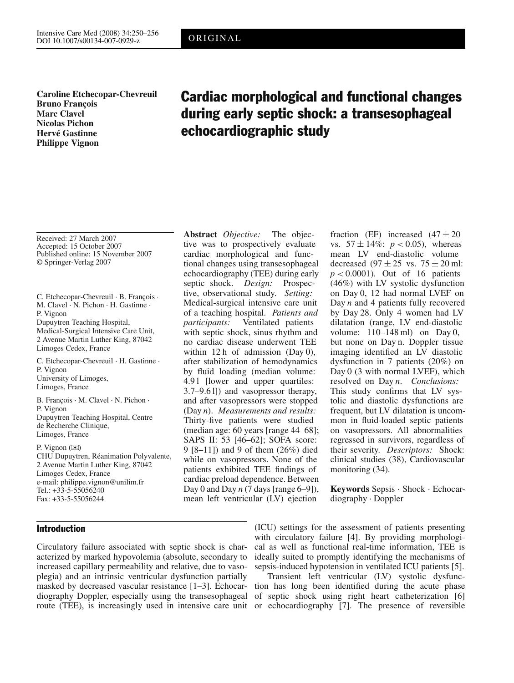**Caroline Etchecopar-Chevreuil Bruno François Marc Clavel Nicolas Pichon Hervé Gastinne Philippe Vignon**

# Cardiac morphological and functional changes during early septic shock: a transesophageal echocardiographic study

Received: 27 March 2007 Accepted: 15 October 2007 Published online: 15 November 2007 © Springer-Verlag 2007

C. Etchecopar-Chevreuil · B. François · M. Clavel · N. Pichon · H. Gastinne · P. Vignon Dupuytren Teaching Hospital, Medical-Surgical Intensive Care Unit, 2 Avenue Martin Luther King, 87042 Limoges Cedex, France C. Etchecopar-Chevreuil · H. Gastinne ·

P. Vignon University of Limoges, Limoges, France

B. François · M. Clavel · N. Pichon · P. Vignon Dupuytren Teaching Hospital, Centre de Recherche Clinique, Limoges, France

P. Vignon  $(\mathbb{X})$ CHU Dupuytren, Réanimation Polyvalente, 2 Avenue Martin Luther King, 87042 Limoges Cedex, France e-mail: philippe.vignon@unilim.fr Tel.: +33-5-55056240 Fax: +33-5-55056244

## Introduction

Circulatory failure associated with septic shock is characterized by marked hypovolemia (absolute, secondary to increased capillary permeability and relative, due to vasoplegia) and an intrinsic ventricular dysfunction partially masked by decreased vascular resistance [1–3]. Echocardiography Doppler, especially using the transesophageal route (TEE), is increasingly used in intensive care unit

**Abstract** *Objective:* The objective was to prospectively evaluate cardiac morphological and functional changes using transesophageal echocardiography (TEE) during early septic shock. *Design:* Prospective, observational study. *Setting:* Medical-surgical intensive care unit of a teaching hospital. *Patients and participants:* Ventilated patients with septic shock, sinus rhythm and no cardiac disease underwent TEE within 12 h of admission (Day 0), after stabilization of hemodynamics by fluid loading (median volume: 4.91 [lower and upper quartiles: 3.7–9.6 l]) and vasopressor therapy, and after vasopressors were stopped (Day *n*). *Measurements and results:* Thirty-five patients were studied (median age: 60 years [range 44–68]; SAPS II: 53 [46–62]; SOFA score: 9 [8–11]) and 9 of them (26%) died while on vasopressors. None of the patients exhibited TEE findings of cardiac preload dependence. Between Day 0 and Day *n* (7 days [range 6–9]), mean left ventricular (LV) ejection

fraction (EF) increased  $(47 \pm 20)$ vs.  $57 \pm 14\%$ :  $p < 0.05$ ), whereas mean LV end-diastolic volume decreased  $(97 \pm 25 \text{ vs. } 75 \pm 20 \text{ ml})$ : *p <* 0.0001). Out of 16 patients (46%) with LV systolic dysfunction on Day 0, 12 had normal LVEF on Day *n* and 4 patients fully recovered by Day 28. Only 4 women had LV dilatation (range, LV end-diastolic volume: 110–148 ml) on Day 0, but none on Day n. Doppler tissue imaging identified an LV diastolic dysfunction in 7 patients (20%) on Day 0 (3 with normal LVEF), which resolved on Day *n*. *Conclusions:* This study confirms that LV systolic and diastolic dysfunctions are frequent, but LV dilatation is uncommon in fluid-loaded septic patients on vasopressors. All abnormalities regressed in survivors, regardless of their severity. *Descriptors:* Shock: clinical studies (38), Cardiovascular monitoring (34).

**Keywords** Sepsis · Shock · Echocardiography · Doppler

(ICU) settings for the assessment of patients presenting with circulatory failure [4]. By providing morphological as well as functional real-time information, TEE is ideally suited to promptly identifying the mechanisms of sepsis-induced hypotension in ventilated ICU patients [5].

Transient left ventricular (LV) systolic dysfunction has long been identified during the acute phase of septic shock using right heart catheterization [6] or echocardiography [7]. The presence of reversible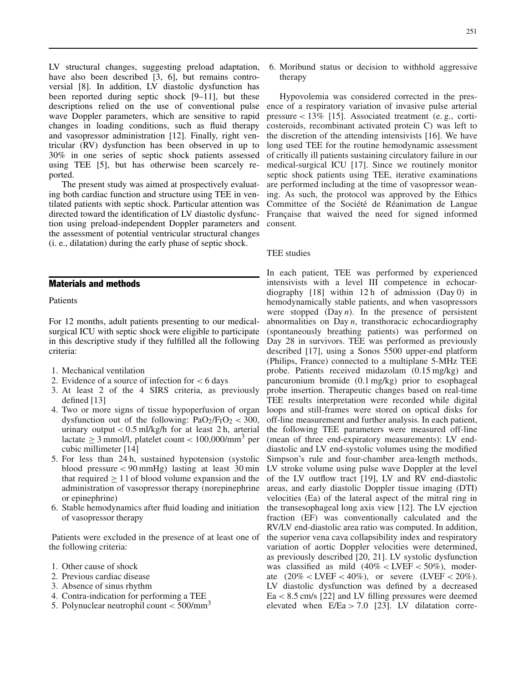LV structural changes, suggesting preload adaptation, have also been described [3, 6], but remains controversial [8]. In addition, LV diastolic dysfunction has been reported during septic shock [9–11], but these descriptions relied on the use of conventional pulse wave Doppler parameters, which are sensitive to rapid changes in loading conditions, such as fluid therapy and vasopressor administration [12]. Finally, right ventricular (RV) dysfunction has been observed in up to 30% in one series of septic shock patients assessed using TEE [5], but has otherwise been scarcely reported.

The present study was aimed at prospectively evaluating both cardiac function and structure using TEE in ventilated patients with septic shock. Particular attention was directed toward the identification of LV diastolic dysfunction using preload-independent Doppler parameters and the assessment of potential ventricular structural changes (i. e., dilatation) during the early phase of septic shock.

### Materials and methods

Patients

For 12 months, adult patients presenting to our medicalsurgical ICU with septic shock were eligible to participate in this descriptive study if they fulfilled all the following criteria:

- 1. Mechanical ventilation
- 2. Evidence of a source of infection for *<* 6 days
- 3. At least 2 of the 4 SIRS criteria, as previously defined [13]
- 4. Two or more signs of tissue hypoperfusion of organ dysfunction out of the following:  $PaO<sub>2</sub>/F<sub>I</sub>O<sub>2</sub> < 300$ , urinary output  $< 0.5$  ml/kg/h for at least 2 h, arterial lactate  $\geq$  3 mmol/l, platelet count  $<$  100,000/mm<sup>3</sup> per cubic millimeter [14]
- 5. For less than 24 h, sustained hypotension (systolic blood pressure *<* 90 mmHg) lasting at least 30 min that required  $\geq 11$  of blood volume expansion and the administration of vasopressor therapy (norepinephrine or epinephrine)
- 6. Stable hemodynamics after fluid loading and initiation of vasopressor therapy

Patients were excluded in the presence of at least one of the following criteria:

- 1. Other cause of shock
- 2. Previous cardiac disease
- 3. Absence of sinus rhythm
- 4. Contra-indication for performing a TEE
- 5. Polynuclear neutrophil count *<* 500/mm<sup>3</sup>

6. Moribund status or decision to withhold aggressive therapy

Hypovolemia was considered corrected in the presence of a respiratory variation of invasive pulse arterial pressure *<* 13% [15]. Associated treatment (e. g., corticosteroids, recombinant activated protein C) was left to the discretion of the attending intensivists [16]. We have long used TEE for the routine hemodynamic assessment of critically ill patients sustaining circulatory failure in our medical-surgical ICU [17]. Since we routinely monitor septic shock patients using TEE, iterative examinations are performed including at the time of vasopressor weaning. As such, the protocol was approved by the Ethics Committee of the Société de Réanimation de Langue Française that waived the need for signed informed consent.

#### TEE studies

In each patient, TEE was performed by experienced intensivists with a level III competence in echocardiography [18] within 12 h of admission (Day 0) in hemodynamically stable patients, and when vasopressors were stopped  $(Day n)$ . In the presence of persistent abnormalities on Day *n*, transthoracic echocardiography (spontaneously breathing patients) was performed on Day 28 in survivors. TEE was performed as previously described [17], using a Sonos 5500 upper-end platform (Philips, France) connected to a multiplane 5-MHz TEE probe. Patients received midazolam (0.15 mg/kg) and pancuronium bromide (0.1 mg/kg) prior to esophageal probe insertion. Therapeutic changes based on real-time TEE results interpretation were recorded while digital loops and still-frames were stored on optical disks for off-line measurement and further analysis. In each patient, the following TEE parameters were measured off-line (mean of three end-expiratory measurements): LV enddiastolic and LV end-systolic volumes using the modified Simpson's rule and four-chamber area-length methods, LV stroke volume using pulse wave Doppler at the level of the LV outflow tract [19], LV and RV end-diastolic areas, and early diastolic Doppler tissue imaging (DTI) velocities (Ea) of the lateral aspect of the mitral ring in the transesophageal long axis view [12]. The LV ejection fraction (EF) was conventionally calculated and the RV/LV end-diastolic area ratio was computed. In addition, the superior vena cava collapsibility index and respiratory variation of aortic Doppler velocities were determined, as previously described [20, 21]. LV systolic dysfunction was classified as mild (40% *<* LVEF *<* 50%), moderate (20% *<* LVEF *<* 40%), or severe (LVEF *<* 20%). LV diastolic dysfunction was defined by a decreased Ea *<* 8.5 cm/s [22] and LV filling pressures were deemed elevated when E/Ea *>* 7.0 [23]. LV dilatation corre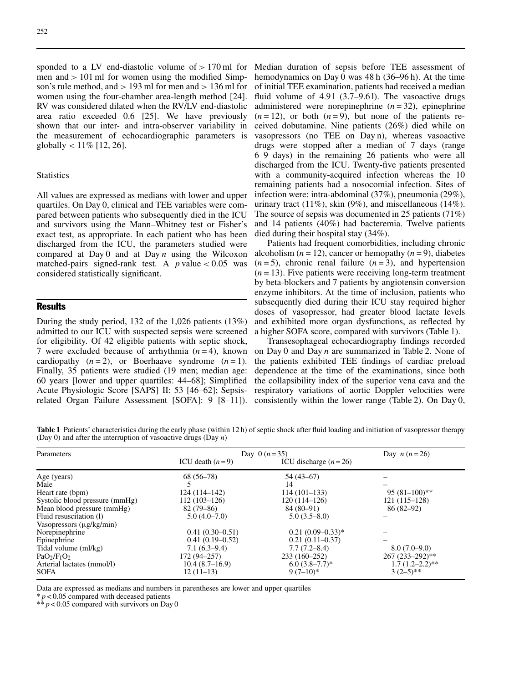sponded to a LV end-diastolic volume of *>* 170 ml for men and *>* 101 ml for women using the modified Simpson's rule method, and *>* 193 ml for men and *>* 136 ml for women using the four-chamber area-length method [24]. RV was considered dilated when the RV/LV end-diastolic area ratio exceeded 0.6 [25]. We have previously shown that our inter- and intra-observer variability in the measurement of echocardiographic parameters is globally *<* 11% [12, 26].

#### **Statistics**

All values are expressed as medians with lower and upper quartiles. On Day 0, clinical and TEE variables were compared between patients who subsequently died in the ICU and survivors using the Mann–Whitney test or Fisher's exact test, as appropriate. In each patient who has been discharged from the ICU, the parameters studied were compared at Day 0 and at Day *n* using the Wilcoxon matched-pairs signed-rank test. A  $p$  value  $< 0.05$  was considered statistically significant.

## Results

During the study period, 132 of the 1,026 patients (13%) admitted to our ICU with suspected sepsis were screened for eligibility. Of 42 eligible patients with septic shock, 7 were excluded because of arrhythmia  $(n=4)$ , known cardiopathy  $(n=2)$ , or Boerhaave syndrome  $(n=1)$ . Finally, 35 patients were studied (19 men; median age: 60 years [lower and upper quartiles: 44–68]; Simplified Acute Physiologic Score [SAPS] II: 53 [46–62]; Sepsisrelated Organ Failure Assessment [SOFA]: 9 [8–11]).

Median duration of sepsis before TEE assessment of hemodynamics on Day 0 was 48 h (36–96 h). At the time of initial TEE examination, patients had received a median fluid volume of  $4.91$  (3.7–9.61). The vasoactive drugs administered were norepinephrine (*n* = 32), epinephrine  $(n=12)$ , or both  $(n=9)$ , but none of the patients received dobutamine. Nine patients (26%) died while on vasopressors (no TEE on Day n), whereas vasoactive drugs were stopped after a median of 7 days (range 6–9 days) in the remaining 26 patients who were all discharged from the ICU. Twenty-five patients presented with a community-acquired infection whereas the 10 remaining patients had a nosocomial infection. Sites of infection were: intra-abdominal (37%), pneumonia (29%), urinary tract  $(11\%)$ , skin  $(9\%)$ , and miscellaneous  $(14\%)$ . The source of sepsis was documented in 25 patients (71%) and 14 patients (40%) had bacteremia. Twelve patients died during their hospital stay (34%).

Patients had frequent comorbidities, including chronic alcoholism  $(n = 12)$ , cancer or hemopathy  $(n = 9)$ , diabetes  $(n=5)$ , chronic renal failure  $(n=3)$ , and hypertension  $(n = 13)$ . Five patients were receiving long-term treatment by beta-blockers and 7 patients by angiotensin conversion enzyme inhibitors. At the time of inclusion, patients who subsequently died during their ICU stay required higher doses of vasopressor, had greater blood lactate levels and exhibited more organ dysfunctions, as reflected by a higher SOFA score, compared with survivors (Table 1).

Transesophageal echocardiography findings recorded on Day 0 and Day *n* are summarized in Table 2. None of the patients exhibited TEE findings of cardiac preload dependence at the time of the examinations, since both the collapsibility index of the superior vena cava and the respiratory variations of aortic Doppler velocities were consistently within the lower range (Table 2). On Day 0,

**Table 1** Patients' characteristics during the early phase (within 12 h) of septic shock after fluid loading and initiation of vasopressor therapy (Day 0) and after the interruption of vasoactive drugs (Day *n*)

| Parameters                     | Day $0(n=35)$     |                        | Day $n(n=26)$        |
|--------------------------------|-------------------|------------------------|----------------------|
|                                | ICU death $(n=9)$ | ICU discharge $(n=26)$ |                      |
| Age (years)                    | $68(56-78)$       | 54 (43–67)             |                      |
| Male                           |                   | 14                     |                      |
| Heart rate (bpm)               | $124(114-142)$    | $114(101-133)$         | $95(81-100)**$       |
| Systolic blood pressure (mmHg) | $112(103-126)$    | $120(114-126)$         | $121(115-128)$       |
| Mean blood pressure (mmHg)     | $82(79-86)$       | $84(80-91)$            | $86(82-92)$          |
| Fluid resuscitation (1)        | $5.0(4.0-7.0)$    | $5.0(3.5-8.0)$         |                      |
| Vasopressors $(\mu g/kg/min)$  |                   |                        |                      |
| Norepinephrine                 | $0.41(0.30-0.51)$ | $0.21(0.09-0.33)*$     |                      |
| Epinephrine                    | $0.41(0.19-0.52)$ | $0.21(0.11-0.37)$      |                      |
| Tidal volume (ml/kg)           | $7.1(6.3-9.4)$    | $7.7(7.2 - 8.4)$       | $8.0(7.0-9.0)$       |
| $PaO2/FIO2$                    | $172(94 - 257)$   | $233(160-252)$         | $267 (233 - 292)$ ** |
| Arterial lactates (mmol/l)     | $10.4(8.7-16.9)$  | $6.0(3.8-7.7)^*$       | $1.7(1.2-2.2)**$     |
| <b>SOFA</b>                    | $12(11-13)$       | $9(7-10)*$             | $3(2-5)$ **          |

Data are expressed as medians and numbers in parentheses are lower and upper quartiles

 $* p < 0.05$  compared with deceased patients

 $** p < 0.05$  compared with survivors on Day 0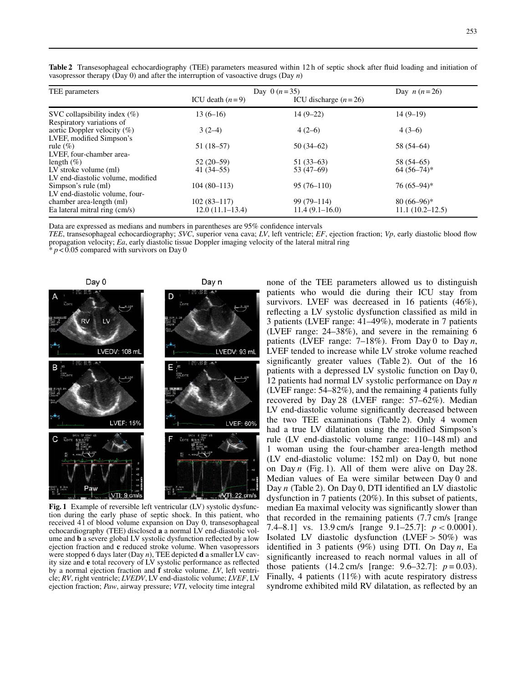| TEE parameters                    | Day 0 $(n=35)$    |                        | Day $n(n=26)$   |
|-----------------------------------|-------------------|------------------------|-----------------|
|                                   | ICU death $(n=9)$ | ICU discharge $(n=26)$ |                 |
| SVC collapsibility index $(\%)$   | $13(6-16)$        | $14(9-22)$             | $14(9-19)$      |
| Respiratory variations of         |                   |                        |                 |
| aortic Doppler velocity $(\%)$    | $3(2-4)$          | $4(2-6)$               | $4(3-6)$        |
| LVEF, modified Simpson's          |                   |                        |                 |
| rule $(\%)$                       | $51(18-57)$       | $50(34-62)$            | $58(54-64)$     |
| LVEF, four-chamber area-          |                   |                        |                 |
| length $(\%)$                     | $52(20-59)$       | $51(33-63)$            | 58 (54–65)      |
| LV stroke volume (ml)             | $41(34 - 55)$     | $53(47-69)$            | $64(56-74)*$    |
| LV end-diastolic volume, modified |                   |                        |                 |
| Simpson's rule (ml)               | $104(80-113)$     | $95(76-110)$           | $76(65-94)$ *   |
| LV end-diastolic volume, four-    |                   |                        |                 |
| chamber area-length (ml)          | $102(83-117)$     | $99(79-114)$           | $80(66-96)*$    |
| Ea lateral mitral ring (cm/s)     | $12.0(11.1-13.4)$ | $11.4(9.1-16.0)$       | 11.1(10.2–12.5) |

**Table 2** Transesophageal echocardiography (TEE) parameters measured within 12 h of septic shock after fluid loading and initiation of vasopressor therapy (Day 0) and after the interruption of vasoactive drugs (Day *n*)

Data are expressed as medians and numbers in parentheses are 95% confidence intervals

*TEE*, transesophageal echocardiography; *SVC*, superior vena cava; *LV*, left ventricle; *EF*, ejection fraction; *Vp*, early diastolic blood flow propagation velocity; *Ea*, early diastolic tissue Doppler imaging velocity of the lateral mitral ring

 $p < 0.05$  compared with survivors on Day 0



**Fig. 1** Example of reversible left ventricular (LV) systolic dysfunction during the early phase of septic shock. In this patient, who received 4 l of blood volume expansion on Day 0, transesophageal echocardiography (TEE) disclosed **a** a normal LV end-diastolic volume and **b** a severe global LV systolic dysfunction reflected by a low ejection fraction and **c** reduced stroke volume. When vasopressors were stopped 6 days later (Day *n*), TEE depicted **d** a smaller LV cavity size and **e** total recovery of LV systolic performance as reflected by a normal ejection fraction and **f** stroke volume. *LV*, left ventricle; *RV*, right ventricle; *LVEDV*, LV end-diastolic volume; *LVEF*, LV ejection fraction; *Paw*, airway pressure; *VTI*, velocity time integral

none of the TEE parameters allowed us to distinguish patients who would die during their ICU stay from survivors. LVEF was decreased in 16 patients (46%), reflecting a LV systolic dysfunction classified as mild in 3 patients (LVEF range: 41–49%), moderate in 7 patients (LVEF range: 24–38%), and severe in the remaining 6 patients (LVEF range: 7–18%). From Day 0 to Day *n*, LVEF tended to increase while LV stroke volume reached significantly greater values (Table 2). Out of the 16 patients with a depressed LV systolic function on Day 0, 12 patients had normal LV systolic performance on Day *n* (LVEF range: 54–82%), and the remaining 4 patients fully recovered by Day 28 (LVEF range: 57–62%). Median LV end-diastolic volume significantly decreased between the two TEE examinations (Table 2). Only 4 women had a true LV dilatation using the modified Simpson's rule (LV end-diastolic volume range: 110–148 ml) and 1 woman using the four-chamber area-length method (LV end-diastolic volume: 152 ml) on Day 0, but none on Day *n* (Fig. 1). All of them were alive on Day 28. Median values of Ea were similar between Day 0 and Day *n* (Table 2). On Day 0, DTI identified an LV diastolic dysfunction in 7 patients (20%). In this subset of patients, median Ea maximal velocity was significantly slower than that recorded in the remaining patients (7.7 cm/s [range 7.4–8.1] vs. 13.9 cm/s [range 9.1–25.7]: *p <* 0.0001). Isolated LV diastolic dysfunction (LVEF *>* 50%) was identified in 3 patients (9%) using DTI. On Day *n*, Ea significantly increased to reach normal values in all of those patients (14.2 cm/s [range: 9.6–32.7]: *p* = 0.03). Finally, 4 patients (11%) with acute respiratory distress syndrome exhibited mild RV dilatation, as reflected by an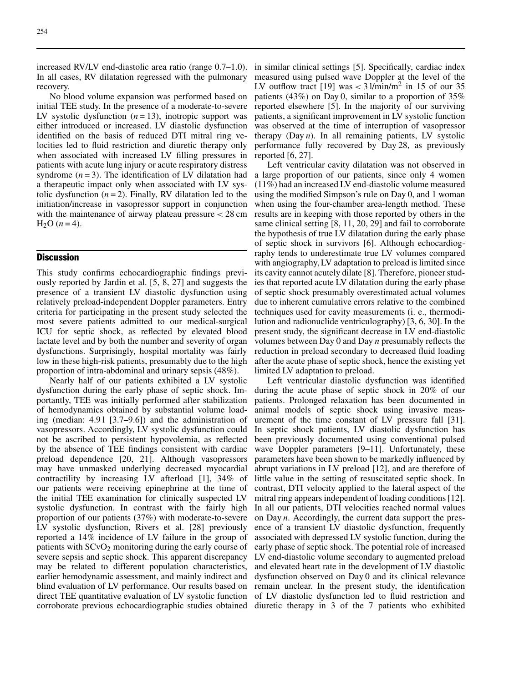In all cases, RV dilatation regressed with the pulmonary recovery.

No blood volume expansion was performed based on initial TEE study. In the presence of a moderate-to-severe LV systolic dysfunction  $(n = 13)$ , inotropic support was either introduced or increased. LV diastolic dysfunction identified on the basis of reduced DTI mitral ring velocities led to fluid restriction and diuretic therapy only when associated with increased LV filling pressures in patients with acute lung injury or acute respiratory distress syndrome  $(n=3)$ . The identification of LV dilatation had a therapeutic impact only when associated with LV systolic dysfunction  $(n=2)$ . Finally, RV dilatation led to the initiation/increase in vasopressor support in conjunction with the maintenance of airway plateau pressure *<* 28 cm  $H_2O$  (*n* = 4).

#### **Discussion**

This study confirms echocardiographic findings previously reported by Jardin et al. [5, 8, 27] and suggests the presence of a transient LV diastolic dysfunction using relatively preload-independent Doppler parameters. Entry criteria for participating in the present study selected the most severe patients admitted to our medical-surgical ICU for septic shock, as reflected by elevated blood lactate level and by both the number and severity of organ dysfunctions. Surprisingly, hospital mortality was fairly low in these high-risk patients, presumably due to the high proportion of intra-abdominal and urinary sepsis (48%).

Nearly half of our patients exhibited a LV systolic dysfunction during the early phase of septic shock. Importantly, TEE was initially performed after stabilization of hemodynamics obtained by substantial volume loading (median:  $4.91$  [3.7–9.6]) and the administration of vasopressors. Accordingly, LV systolic dysfunction could not be ascribed to persistent hypovolemia, as reflected by the absence of TEE findings consistent with cardiac preload dependence [20, 21]. Although vasopressors may have unmasked underlying decreased myocardial contractility by increasing LV afterload [1], 34% of our patients were receiving epinephrine at the time of the initial TEE examination for clinically suspected LV systolic dysfunction. In contrast with the fairly high proportion of our patients (37%) with moderate-to-severe LV systolic dysfunction, Rivers et al. [28] previously reported a 14% incidence of LV failure in the group of patients with SCvO<sub>2</sub> monitoring during the early course of severe sepsis and septic shock. This apparent discrepancy may be related to different population characteristics, earlier hemodynamic assessment, and mainly indirect and blind evaluation of LV performance. Our results based on direct TEE quantitative evaluation of LV systolic function corroborate previous echocardiographic studies obtained

increased RV/LV end-diastolic area ratio (range 0.7–1.0). in similar clinical settings [5]. Specifically, cardiac index measured using pulsed wave Doppler at the level of the LV outflow tract [19] was  $<$  3 l/min/m<sup>2</sup> in 15 of our 35 patients (43%) on Day 0, similar to a proportion of 35% reported elsewhere [5]. In the majority of our surviving patients, a significant improvement in LV systolic function was observed at the time of interruption of vasopressor therapy (Day *n*). In all remaining patients, LV systolic performance fully recovered by Day 28, as previously reported [6, 27].

> Left ventricular cavity dilatation was not observed in a large proportion of our patients, since only 4 women (11%) had an increased LV end-diastolic volume measured using the modified Simpson's rule on Day 0, and 1 woman when using the four-chamber area-length method. These results are in keeping with those reported by others in the same clinical setting [8, 11, 20, 29] and fail to corroborate the hypothesis of true LV dilatation during the early phase of septic shock in survivors [6]. Although echocardiography tends to underestimate true LV volumes compared with angiography, LV adaptation to preload is limited since its cavity cannot acutely dilate [8]. Therefore, pioneer studies that reported acute LV dilatation during the early phase of septic shock presumably overestimated actual volumes due to inherent cumulative errors relative to the combined techniques used for cavity measurements (i. e., thermodilution and radionuclide ventriculography) [3, 6, 30]. In the present study, the significant decrease in LV end-diastolic volumes between Day 0 and Day *n* presumably reflects the reduction in preload secondary to decreased fluid loading after the acute phase of septic shock, hence the existing yet limited LV adaptation to preload.

> Left ventricular diastolic dysfunction was identified during the acute phase of septic shock in 20% of our patients. Prolonged relaxation has been documented in animal models of septic shock using invasive measurement of the time constant of LV pressure fall [31]. In septic shock patients, LV diastolic dysfunction has been previously documented using conventional pulsed wave Doppler parameters [9–11]. Unfortunately, these parameters have been shown to be markedly influenced by abrupt variations in LV preload [12], and are therefore of little value in the setting of resuscitated septic shock. In contrast, DTI velocity applied to the lateral aspect of the mitral ring appears independent of loading conditions [12]. In all our patients, DTI velocities reached normal values on Day *n*. Accordingly, the current data support the presence of a transient LV diastolic dysfunction, frequently associated with depressed LV systolic function, during the early phase of septic shock. The potential role of increased LV end-diastolic volume secondary to augmented preload and elevated heart rate in the development of LV diastolic dysfunction observed on Day 0 and its clinical relevance remain unclear. In the present study, the identification of LV diastolic dysfunction led to fluid restriction and diuretic therapy in 3 of the 7 patients who exhibited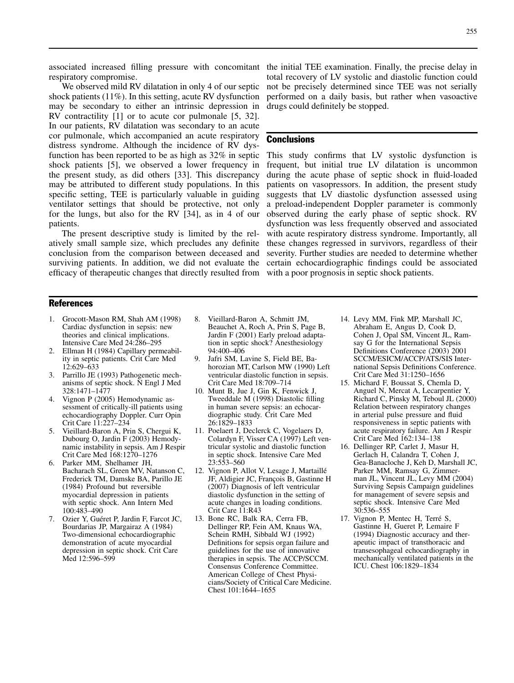respiratory compromise.

We observed mild RV dilatation in only 4 of our septic shock patients (11%). In this setting, acute RV dysfunction may be secondary to either an intrinsic depression in RV contractility [1] or to acute cor pulmonale [5, 32]. In our patients, RV dilatation was secondary to an acute cor pulmonale, which accompanied an acute respiratory distress syndrome. Although the incidence of RV dysfunction has been reported to be as high as 32% in septic shock patients [5], we observed a lower frequency in the present study, as did others [33]. This discrepancy may be attributed to different study populations. In this specific setting, TEE is particularly valuable in guiding ventilator settings that should be protective, not only for the lungs, but also for the RV [34], as in 4 of our patients.

The present descriptive study is limited by the relatively small sample size, which precludes any definite conclusion from the comparison between deceased and surviving patients. In addition, we did not evaluate the efficacy of therapeutic changes that directly resulted from

associated increased filling pressure with concomitant the initial TEE examination. Finally, the precise delay in total recovery of LV systolic and diastolic function could not be precisely determined since TEE was not serially performed on a daily basis, but rather when vasoactive drugs could definitely be stopped.

#### **Conclusions**

This study confirms that LV systolic dysfunction is frequent, but initial true LV dilatation is uncommon during the acute phase of septic shock in fluid-loaded patients on vasopressors. In addition, the present study suggests that LV diastolic dysfunction assessed using a preload-independent Doppler parameter is commonly observed during the early phase of septic shock. RV dysfunction was less frequently observed and associated with acute respiratory distress syndrome. Importantly, all these changes regressed in survivors, regardless of their severity. Further studies are needed to determine whether certain echocardiographic findings could be associated with a poor prognosis in septic shock patients.

## **References**

- 1. Grocott-Mason RM, Shah AM (1998) Cardiac dysfunction in sepsis: new theories and clinical implications. Intensive Care Med 24:286–295
- 2. Ellman H (1984) Capillary permeability in septic patients. Crit Care Med 12:629–633
- 3. Parrillo JE (1993) Pathogenetic mechanisms of septic shock. N Engl J Med 328:1471–1477
- 4. Vignon P (2005) Hemodynamic assessment of critically-ill patients using echocardiography Doppler. Curr Opin Crit Care 11:227–234
- 5. Vieillard-Baron A, Prin S, Chergui K, Dubourg O, Jardin F (2003) Hemodynamic instability in sepsis. Am J Respir Crit Care Med 168:1270–1276
- 6. Parker MM, Shelhamer JH, Bacharach SL, Green MV, Natanson C, Frederick TM, Damske BA, Parillo JE (1984) Profound but reversible myocardial depression in patients with septic shock. Ann Intern Med 100:483–490
- 7. Ozier Y, Guéret P, Jardin F, Farcot JC, Bourdarias JP, Margairaz A (1984) Two-dimensional echocardiographic demonstration of acute myocardial depression in septic shock. Crit Care Med 12:596–599
- 8. Vieillard-Baron A, Schmitt JM, Beauchet A, Roch A, Prin S, Page B, Jardin F (2001) Early preload adaptation in septic shock? Anesthesiology 94:400–406
- 9. Jafri SM, Lavine S, Field BE, Bahorozian MT, Carlson MW (1990) Left ventricular diastolic function in sepsis. Crit Care Med 18:709–714
- 10. Munt B, Jue J, Gin K, Fenwick J, Tweeddale M (1998) Diastolic filling in human severe sepsis: an echocardiographic study. Crit Care Med 26:1829–1833
- 11. Poelaert J, Declerck C, Vogelaers D, Colardyn F, Visser CA (1997) Left ventricular systolic and diastolic function in septic shock. Intensive Care Med 23:553–560
- 12. Vignon P, Allot V, Lesage J, Martaillé JF, Aldigier JC, François B, Gastinne H (2007) Diagnosis of left ventricular diastolic dysfunction in the setting of acute changes in loading conditions. Crit Care 11:R43
- 13. Bone RC, Balk RA, Cerra FB, Dellinger RP, Fein AM, Knaus WA, Schein RMH, Sibbald WJ (1992) Definitions for sepsis organ failure and guidelines for the use of innovative therapies in sepsis. The ACCP/SCCM. Consensus Conference Committee. American College of Chest Physicians/Society of Critical Care Medicine. Chest 101:1644–1655
- 14. Levy MM, Fink MP, Marshall JC, Abraham E, Angus D, Cook D, Cohen J, Opal SM, Vincent JL, Ramsay G for the International Sepsis Definitions Conference (2003) 2001 SCCM/ESICM/ACCP/ATS/SIS International Sepsis Definitions Conference. Crit Care Med 31:1250–1656
- 15. Michard F, Boussat S, Chemla D, Anguel N, Mercat A, Lecarpentier Y, Richard C, Pinsky M, Teboul JL (2000) Relation between respiratory changes in arterial pulse pressure and fluid responsiveness in septic patients with acute respiratory failure. Am J Respir Crit Care Med 162:134–138
- 16. Dellinger RP, Carlet J, Masur H, Gerlach H, Calandra T, Cohen J, Gea-Banacloche J, Keh D, Marshall JC, Parker MM, Ramsay G, Zimmerman JL, Vincent JL, Levy MM (2004) Surviving Sepsis Campaign guidelines for management of severe sepsis and septic shock. Intensive Care Med 30:536–555
- 17. Vignon P, Mentec H, Terré S, Gastinne H, Gueret P, Lemaire F (1994) Diagnostic accuracy and therapeutic impact of transthoracic and transesophageal echocardiography in mechanically ventilated patients in the ICU. Chest 106:1829–1834